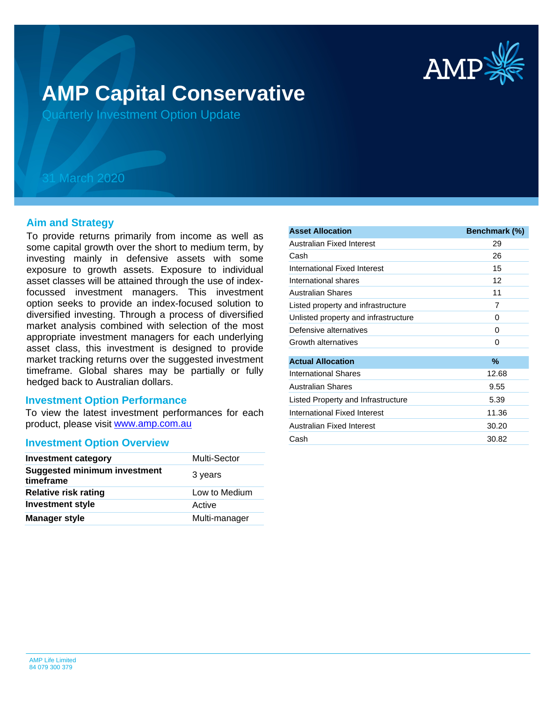

# **AMP Capital Conservative**

Quarterly Investment Option Update

## 31 March 2020

## **Aim and Strategy**

To provide returns primarily from income as well as some capital growth over the short to medium term, by investing mainly in defensive assets with some exposure to growth assets. Exposure to individual asset classes will be attained through the use of indexfocussed investment managers. This investment option seeks to provide an index-focused solution to diversified investing. Through a process of diversified market analysis combined with selection of the most appropriate investment managers for each underlying asset class, this investment is designed to provide market tracking returns over the suggested investment timeframe. Global shares may be partially or fully hedged back to Australian dollars.

### **Investment Option Performance**

product, please visit **[www.amp.com.au](https://www.amp.com.au)** To view the latest investment performances for each

### **Investment Option Overview**

| <b>Investment category</b>                       | <b>Multi-Sector</b> |
|--------------------------------------------------|---------------------|
| <b>Suggested minimum investment</b><br>timeframe | 3 years             |
| <b>Relative risk rating</b>                      | Low to Medium       |
| <b>Investment style</b>                          | Active              |
| <b>Manager style</b>                             | Multi-manager       |

| <b>Asset Allocation</b>              | Benchmark (%) |
|--------------------------------------|---------------|
| Australian Fixed Interest            | 29            |
| Cash                                 | 26            |
| International Fixed Interest         | 15            |
| International shares                 | 12            |
| Australian Shares                    | 11            |
| Listed property and infrastructure   | 7             |
| Unlisted property and infrastructure | 0             |
| Defensive alternatives               | 0             |
| Growth alternatives                  | 0             |
| <b>Actual Allocation</b>             | %             |
| International Shares                 | 12.68         |
| Australian Shares                    | 9.55          |
| Listed Property and Infrastructure   | 5.39          |
| International Fixed Interest         | 11.36         |
| Australian Fixed Interest            | 30.20         |
| Cash                                 | 30.82         |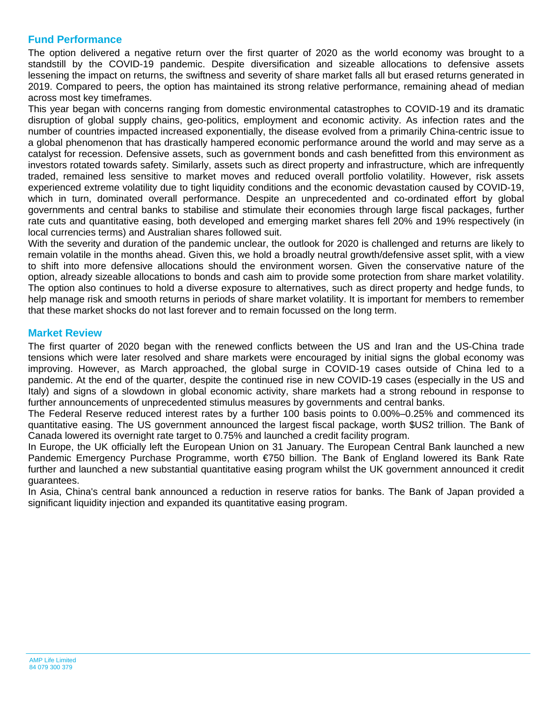## **Fund Performance**

The option delivered a negative return over the first quarter of 2020 as the world economy was brought to a standstill by the COVID-19 pandemic. Despite diversification and sizeable allocations to defensive assets lessening the impact on returns, the swiftness and severity of share market falls all but erased returns generated in 2019. Compared to peers, the option has maintained its strong relative performance, remaining ahead of median across most key timeframes.

This year began with concerns ranging from domestic environmental catastrophes to COVID-19 and its dramatic disruption of global supply chains, geo-politics, employment and economic activity. As infection rates and the number of countries impacted increased exponentially, the disease evolved from a primarily China-centric issue to a global phenomenon that has drastically hampered economic performance around the world and may serve as a catalyst for recession. Defensive assets, such as government bonds and cash benefitted from this environment as investors rotated towards safety. Similarly, assets such as direct property and infrastructure, which are infrequently traded, remained less sensitive to market moves and reduced overall portfolio volatility. However, risk assets experienced extreme volatility due to tight liquidity conditions and the economic devastation caused by COVID-19, which in turn, dominated overall performance. Despite an unprecedented and co-ordinated effort by global governments and central banks to stabilise and stimulate their economies through large fiscal packages, further rate cuts and quantitative easing, both developed and emerging market shares fell 20% and 19% respectively (in local currencies terms) and Australian shares followed suit.

With the severity and duration of the pandemic unclear, the outlook for 2020 is challenged and returns are likely to remain volatile in the months ahead. Given this, we hold a broadly neutral growth/defensive asset split, with a view to shift into more defensive allocations should the environment worsen. Given the conservative nature of the option, already sizeable allocations to bonds and cash aim to provide some protection from share market volatility. The option also continues to hold a diverse exposure to alternatives, such as direct property and hedge funds, to help manage risk and smooth returns in periods of share market volatility. It is important for members to remember that these market shocks do not last forever and to remain focussed on the long term.

## **Market Review**

The first quarter of 2020 began with the renewed conflicts between the US and Iran and the US-China trade tensions which were later resolved and share markets were encouraged by initial signs the global economy was improving. However, as March approached, the global surge in COVID-19 cases outside of China led to a pandemic. At the end of the quarter, despite the continued rise in new COVID-19 cases (especially in the US and Italy) and signs of a slowdown in global economic activity, share markets had a strong rebound in response to further announcements of unprecedented stimulus measures by governments and central banks.

The Federal Reserve reduced interest rates by a further 100 basis points to 0.00%–0.25% and commenced its quantitative easing. The US government announced the largest fiscal package, worth \$US2 trillion. The Bank of Canada lowered its overnight rate target to 0.75% and launched a credit facility program.

In Europe, the UK officially left the European Union on 31 January. The European Central Bank launched a new Pandemic Emergency Purchase Programme, worth €750 billion. The Bank of England lowered its Bank Rate further and launched a new substantial quantitative easing program whilst the UK government announced it credit guarantees.

In Asia, China's central bank announced a reduction in reserve ratios for banks. The Bank of Japan provided a significant liquidity injection and expanded its quantitative easing program.